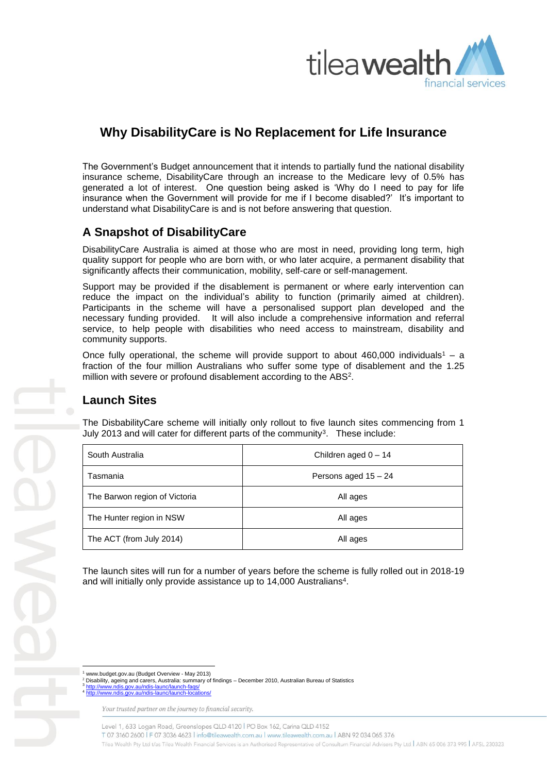

# **Why DisabilityCare is No Replacement for Life Insurance**

The Government's Budget announcement that it intends to partially fund the national disability insurance scheme, DisabilityCare through an increase to the Medicare levy of 0.5% has generated a lot of interest. One question being asked is 'Why do I need to pay for life insurance when the Government will provide for me if I become disabled?' It's important to understand what DisabilityCare is and is not before answering that question.

## **A Snapshot of DisabilityCare**

DisabilityCare Australia is aimed at those who are most in need, providing long term, high quality support for people who are born with, or who later acquire, a permanent disability that significantly affects their communication, mobility, self-care or self-management.

Support may be provided if the disablement is permanent or where early intervention can reduce the impact on the individual's ability to function (primarily aimed at children). Participants in the scheme will have a personalised support plan developed and the necessary funding provided. It will also include a comprehensive information and referral service, to help people with disabilities who need access to mainstream, disability and community supports.

Once fully operational, the scheme will provide support to about 460,000 individuals<sup>1</sup> – a fraction of the four million Australians who suffer some type of disablement and the 1.25 million with severe or profound disablement according to the ABS<sup>2</sup>.

### **Launch Sites**

The DisbabilityCare scheme will initially only rollout to five launch sites commencing from 1 July 2013 and will cater for different parts of the community<sup>3</sup>. These include:

| South Australia               | Children aged $0 - 14$ |
|-------------------------------|------------------------|
| Tasmania                      | Persons aged 15 - 24   |
| The Barwon region of Victoria | All ages               |
| The Hunter region in NSW      | All ages               |
| The ACT (from July 2014)      | All ages               |

The launch sites will run for a number of years before the scheme is fully rolled out in 2018-19 and will initially only provide assistance up to 14,000 Australians<sup>4</sup>.

<sup>1</sup> www.budget.gov.au (Budget Overview - May 2013) <sup>2</sup> Disability, ageing and carers, Australia: summary of findings – December 2010, Australian Bureau of Statistics 3 <http://www.ndis.gov.au/ndis-launc/launch-faqs/>

4 <http://www.ndis.gov.au/ndis-launc/launch-locations/>

Your trusted partner on the journey to financial security.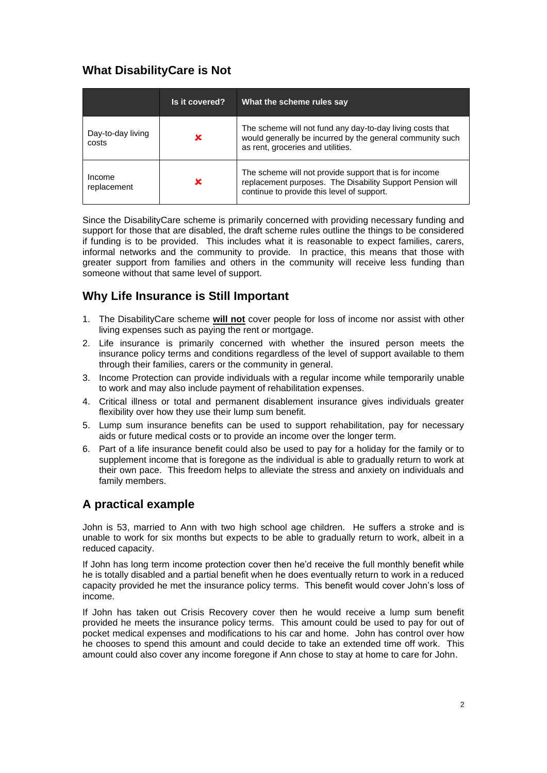## **What DisabilityCare is Not**

|                            | Is it covered? | What the scheme rules say                                                                                                                                         |
|----------------------------|----------------|-------------------------------------------------------------------------------------------------------------------------------------------------------------------|
| Day-to-day living<br>costs | x              | The scheme will not fund any day-to-day living costs that<br>would generally be incurred by the general community such<br>as rent, groceries and utilities.       |
| Income<br>replacement      | x              | The scheme will not provide support that is for income<br>replacement purposes. The Disability Support Pension will<br>continue to provide this level of support. |

Since the DisabilityCare scheme is primarily concerned with providing necessary funding and support for those that are disabled, the draft scheme rules outline the things to be considered if funding is to be provided. This includes what it is reasonable to expect families, carers, informal networks and the community to provide. In practice, this means that those with greater support from families and others in the community will receive less funding than someone without that same level of support.

## **Why Life Insurance is Still Important**

- 1. The DisabilityCare scheme **will not** cover people for loss of income nor assist with other living expenses such as paying the rent or mortgage.
- 2. Life insurance is primarily concerned with whether the insured person meets the insurance policy terms and conditions regardless of the level of support available to them through their families, carers or the community in general.
- 3. Income Protection can provide individuals with a regular income while temporarily unable to work and may also include payment of rehabilitation expenses.
- 4. Critical illness or total and permanent disablement insurance gives individuals greater flexibility over how they use their lump sum benefit.
- 5. Lump sum insurance benefits can be used to support rehabilitation, pay for necessary aids or future medical costs or to provide an income over the longer term.
- 6. Part of a life insurance benefit could also be used to pay for a holiday for the family or to supplement income that is foregone as the individual is able to gradually return to work at their own pace. This freedom helps to alleviate the stress and anxiety on individuals and family members.

### **A practical example**

John is 53, married to Ann with two high school age children. He suffers a stroke and is unable to work for six months but expects to be able to gradually return to work, albeit in a reduced capacity.

If John has long term income protection cover then he'd receive the full monthly benefit while he is totally disabled and a partial benefit when he does eventually return to work in a reduced capacity provided he met the insurance policy terms. This benefit would cover John's loss of income.

If John has taken out Crisis Recovery cover then he would receive a lump sum benefit provided he meets the insurance policy terms. This amount could be used to pay for out of pocket medical expenses and modifications to his car and home. John has control over how he chooses to spend this amount and could decide to take an extended time off work. This amount could also cover any income foregone if Ann chose to stay at home to care for John.